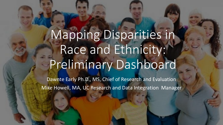## Mapping Disparities in Race and Ethnicity: Preliminary Dashboard

Dawnte Early Ph.D., MS, Chief of Research and Evaluation Mike Howell, MA, UC Research and Data Integration Manager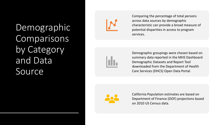Demographic Comparisons by Category and Data Source



Comparing the percentage of total persons across data sources by demographic characteristic can provide a broad measure of potential disparities in access to program services.



Demographic groupings were chosen based on summary data reported in the MHS Dashboard Demographic Datasets and Report Tool downloaded from the Department of Health Care Services (DHCS) Open Data Portal.



California Population estimates are based on Department of Finance (DOF) projections based on 2010 US Census data.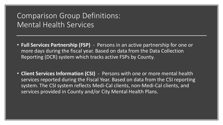## Comparison Group Definitions: Mental Health Services

- **Full Services Partnership (FSP)** Persons in an active partnership for one or more days during the fiscal year. Based on data from the Data Collection Reporting (DCR) system which tracks active FSPs by County.
- **Client Services Information (CSI)** Persons with one or more mental health services reported during the Fiscal Year. Based on data from the CSI reporting system. The CSI system reflects Medi-Cal clients, non-Medi-Cal clients, and services provided in County and/or City Mental Health Plans.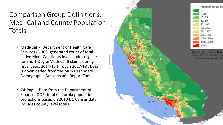## Comparison Group Definitions: Medi-Cal and County Population Totals

- **Medi-Cal** Department of Health Care Services (DHCS) generated count of total active Medi-Cal clients in aid codes eligible for Short-Doyle/Medi-Cal II claims during fiscal years 2014-15 through 2017-18 . Data is downloaded from the MHS Dashboard Demographic Datasets and Report Tool.
- **CA Pop** Data from the Department of Finance (DOF) total California population projections based on 2010 UC Census data, includes county level totals.